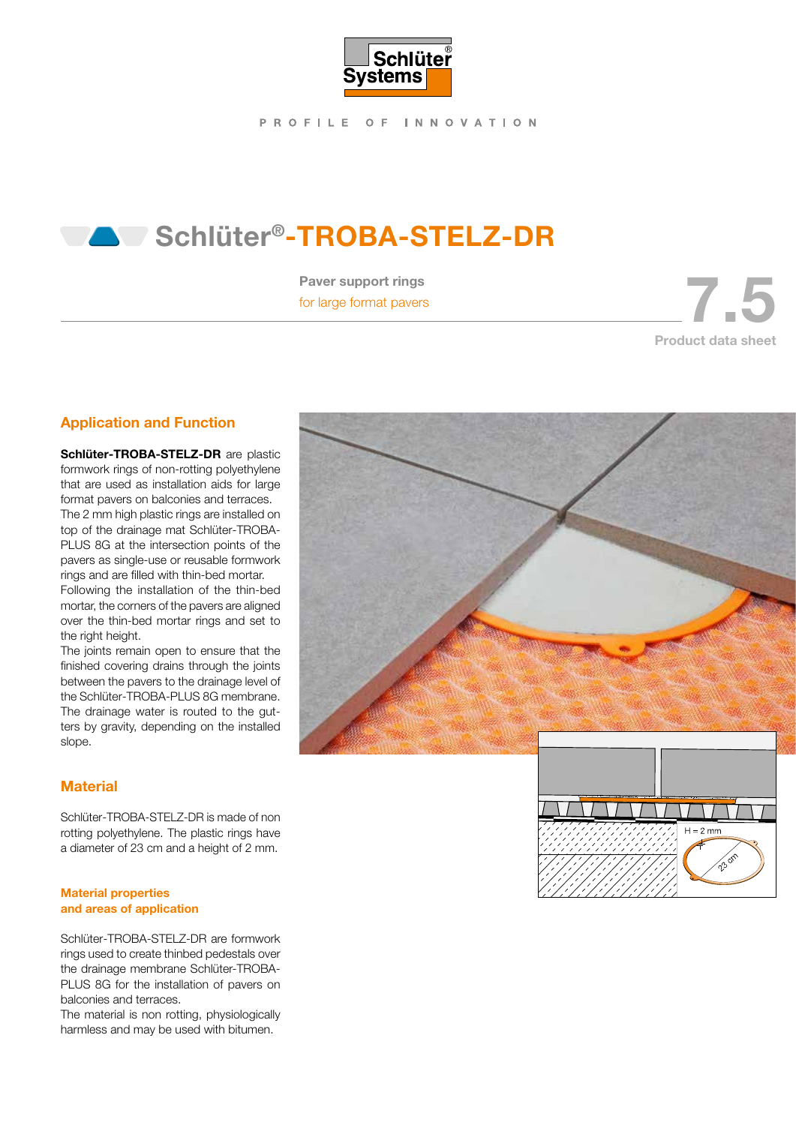

PROFILE OF INNOVATION

# Schlüter®-TROBA-STELZ-DR

Paver support rings

Faver support rings<br>for large format pavers 7.5 and 7.5 and 7.5 and 7.5 and 7.5 and 7.5 and 7.5 and 7.5 and 7.5 and 7.5 and 7.5 and 7.5 and 7.5 and 7.5 and 7.5 and 7.6 and 7.6 and 7.6 and 7.6 and 7.6 and 7.6 and 7.6 and 7. Product data sheet

# Application and Function

Schlüter-TROBA-STELZ-DR are plastic formwork rings of non-rotting polyethylene that are used as installation aids for large format pavers on balconies and terraces. The 2 mm high plastic rings are installed on top of the drainage mat Schlüter-TROBA-PLUS 8G at the intersection points of the pavers as single-use or reusable formwork rings and are filled with thin-bed mortar.

Following the installation of the thin-bed mortar, the corners of the pavers are aligned over the thin-bed mortar rings and set to the right height.

The joints remain open to ensure that the finished covering drains through the joints between the pavers to the drainage level of the Schlüter-TROBA-PLUS 8G membrane. The drainage water is routed to the gutters by gravity, depending on the installed slope.

# **Material**

Schlüter-TROBA-STELZ-DR is made of non rotting polyethylene. The plastic rings have a diameter of 23 cm and a height of 2 mm.

#### Material properties and areas of application

Schlüter-TROBA-STELZ-DR are formwork rings used to create thinbed pedestals over the drainage membrane Schlüter-TROBA-PLUS 8G for the installation of pavers on balconies and terraces.

The material is non rotting, physiologically harmless and may be used with bitumen.